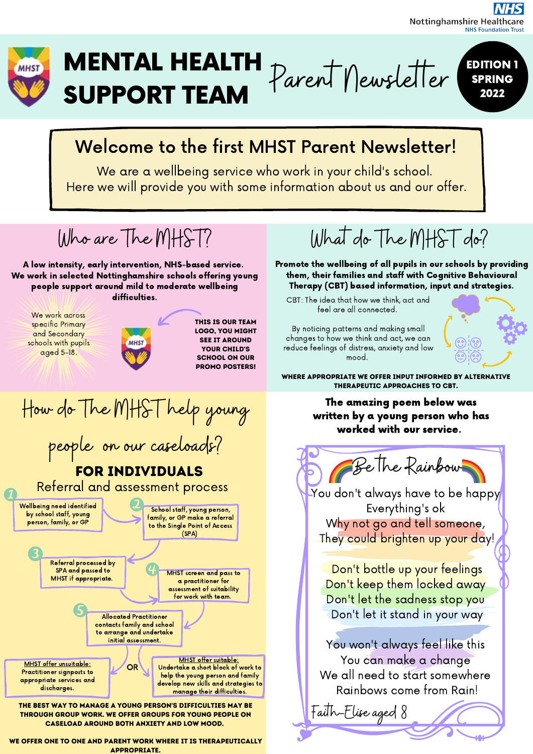#### **Nottinghamshire Healthcare NHS Foundation Trust**



# MENTAL HEALTH SUPPORT TEAM  $Parent$  Newsletter

EDITION 1 SPRING 2022

## Welcome to the first MHST Parent Newsletter!

We are a wellbeing service who work in your child's school. Here we will provide you with some information about us and our offer.

Who are The MHST? What do The MHST do? A low intensity, early intervention, NHS-based service. Promote the wellbeing of all pupils in our schools by providing them, their families and staff with Cognitive Behavioural We work in selected Nottinghamshire schools offering young people support around mild to moderate wellbeing Therapy (CBT) based information, input and strategies. difficulties. CBT: The idea that how we think, act and feel are all connected. We work across This is our team specific Primary By noticing patterns and making small logo, you might and Secondary changes to how we think and act, we can see it around schools with pupils **MHS** reduce feelings of distress, anxiety and low your child's aged 5-18. mood. school on our promo posters! Where appropriate we offer input informed by alternative therapeutic approaches to CBT.How do The MHST help young The amazing poem below was written by a young person who has worked with our service. people on our caseloads? Be The Rainbow For Individuals Referral and assessment process You don't always have to be happy Wellbeing need identified Everything's ok School staff, young person, by school staff, young family, or GP make a referral Why not go and tell someone, person, family, or GP to the Single Point of Access (SPA) They could brighten up your day! Referral processed by Don't bottle up your feelings SPA and passed to MHST screen and pass to MHST if appropriate. a practitioner for Don't keep them locked away assessment of suitability for work with team. Don't let the sadness stop you Don't let it stand in your way Allocated Practitioner contacts family and school to arrange and undertake initial assessment. You won't always feel like this You can make a change MHST offer suitable: MHST offer unsuitable: OR Undertake a short block of work to Practitioner signposts to We all need to start somewhere help the young person and family appropriate services and develop new skills and strategies to Rainbows come from Rain! discharges. manage their difficulties. The best way to manage a young person's difficulties may be Faith-Elise aged 8 through group work. We offer groups for young people on caseload around both anxiety and low mood.

WE OFFER ONE TO ONE AND PARENT WORK WHERE IT IS THERAPEUTICALLY appropriate.